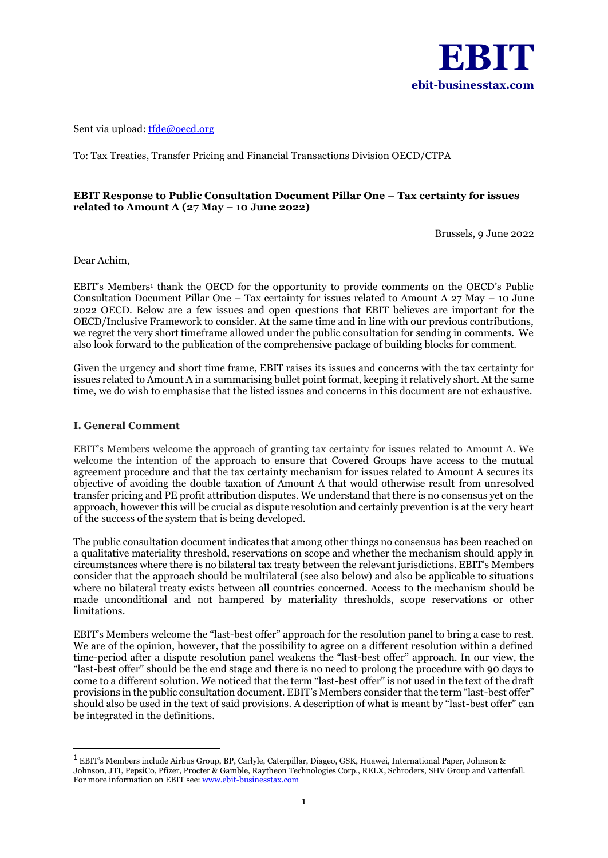

Sent via upload[: tfde@oecd.org](mailto:tfde@oecd.org)

To: Tax Treaties, Transfer Pricing and Financial Transactions Division OECD/CTPA

### **EBIT Response to Public Consultation Document Pillar One – Tax certainty for issues related to Amount A (27 May – 10 June 2022)**

Brussels, 9 June 2022

Dear Achim,

EBIT's Members<sup>1</sup> thank the OECD for the opportunity to provide comments on the OECD's Public Consultation Document Pillar One – Tax certainty for issues related to Amount A 27 May – 10 June 2022 OECD. Below are a few issues and open questions that EBIT believes are important for the OECD/Inclusive Framework to consider. At the same time and in line with our previous contributions, we regret the very short timeframe allowed under the public consultation for sending in comments. We also look forward to the publication of the comprehensive package of building blocks for comment.

Given the urgency and short time frame, EBIT raises its issues and concerns with the tax certainty for issues related to Amount A in a summarising bullet point format, keeping it relatively short. At the same time, we do wish to emphasise that the listed issues and concerns in this document are not exhaustive.

#### **I. General Comment**

EBIT's Members welcome the approach of granting tax certainty for issues related to Amount A. We welcome the intention of the approach to ensure that Covered Groups have access to the mutual agreement procedure and that the tax certainty mechanism for issues related to Amount A secures its objective of avoiding the double taxation of Amount A that would otherwise result from unresolved transfer pricing and PE profit attribution disputes. We understand that there is no consensus yet on the approach, however this will be crucial as dispute resolution and certainly prevention is at the very heart of the success of the system that is being developed.

The public consultation document indicates that among other things no consensus has been reached on a qualitative materiality threshold, reservations on scope and whether the mechanism should apply in circumstances where there is no bilateral tax treaty between the relevant jurisdictions. EBIT's Members consider that the approach should be multilateral (see also below) and also be applicable to situations where no bilateral treaty exists between all countries concerned. Access to the mechanism should be made unconditional and not hampered by materiality thresholds, scope reservations or other limitations.

EBIT's Members welcome the "last-best offer" approach for the resolution panel to bring a case to rest. We are of the opinion, however, that the possibility to agree on a different resolution within a defined time-period after a dispute resolution panel weakens the "last-best offer" approach. In our view, the "last-best offer" should be the end stage and there is no need to prolong the procedure with 90 days to come to a different solution. We noticed that the term "last-best offer" is not used in the text of the draft provisions in the public consultation document. EBIT's Members consider that the term "last-best offer" should also be used in the text of said provisions. A description of what is meant by "last-best offer" can be integrated in the definitions.

<sup>&</sup>lt;sup>1</sup> EBIT's Members include Airbus Group, BP, Carlyle, Caterpillar, Diageo, GSK, Huawei, International Paper, Johnson & Johnson, JTI, PepsiCo, Pfizer, Procter & Gamble, Raytheon Technologies Corp., RELX, Schroders, SHV Group and Vattenfall. For more information on EBIT see[: www.ebit-businesstax.com](http://www.ebit-businesstax.com/)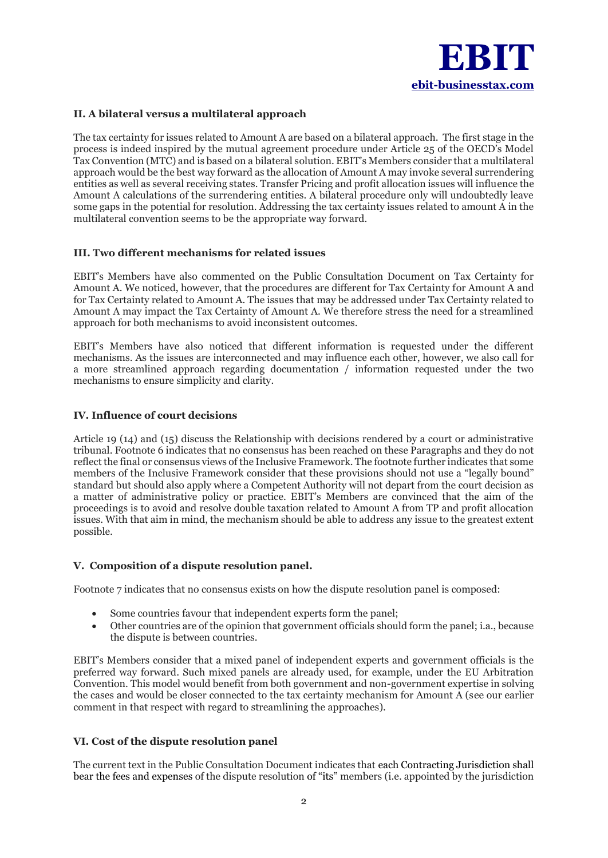

### **II. A bilateral versus a multilateral approach**

The tax certainty for issues related to Amount A are based on a bilateral approach. The first stage in the process is indeed inspired by the mutual agreement procedure under Article 25 of the OECD's Model Tax Convention (MTC) and is based on a bilateral solution. EBIT's Members consider that a multilateral approach would be the best way forward as the allocation of Amount A may invoke several surrendering entities as well as several receiving states. Transfer Pricing and profit allocation issues will influence the Amount A calculations of the surrendering entities. A bilateral procedure only will undoubtedly leave some gaps in the potential for resolution. Addressing the tax certainty issues related to amount A in the multilateral convention seems to be the appropriate way forward.

### **III. Two different mechanisms for related issues**

EBIT's Members have also commented on the Public Consultation Document on Tax Certainty for Amount A. We noticed, however, that the procedures are different for Tax Certainty for Amount A and for Tax Certainty related to Amount A. The issues that may be addressed under Tax Certainty related to Amount A may impact the Tax Certainty of Amount A. We therefore stress the need for a streamlined approach for both mechanisms to avoid inconsistent outcomes.

EBIT's Members have also noticed that different information is requested under the different mechanisms. As the issues are interconnected and may influence each other, however, we also call for a more streamlined approach regarding documentation / information requested under the two mechanisms to ensure simplicity and clarity.

### **IV. Influence of court decisions**

Article 19 (14) and (15) discuss the Relationship with decisions rendered by a court or administrative tribunal. Footnote 6 indicates that no consensus has been reached on these Paragraphs and they do not reflect the final or consensus views of the Inclusive Framework. The footnote further indicates that some members of the Inclusive Framework consider that these provisions should not use a "legally bound" standard but should also apply where a Competent Authority will not depart from the court decision as a matter of administrative policy or practice. EBIT's Members are convinced that the aim of the proceedings is to avoid and resolve double taxation related to Amount A from TP and profit allocation issues. With that aim in mind, the mechanism should be able to address any issue to the greatest extent possible.

#### **V. Composition of a dispute resolution panel.**

Footnote 7 indicates that no consensus exists on how the dispute resolution panel is composed:

- Some countries favour that independent experts form the panel;
- Other countries are of the opinion that government officials should form the panel; i.a., because the dispute is between countries.

EBIT's Members consider that a mixed panel of independent experts and government officials is the preferred way forward. Such mixed panels are already used, for example, under the EU Arbitration Convention. This model would benefit from both government and non-government expertise in solving the cases and would be closer connected to the tax certainty mechanism for Amount A (see our earlier comment in that respect with regard to streamlining the approaches).

# **VI. Cost of the dispute resolution panel**

The current text in the Public Consultation Document indicates that each Contracting Jurisdiction shall bear the fees and expenses of the dispute resolution of "its" members (i.e. appointed by the jurisdiction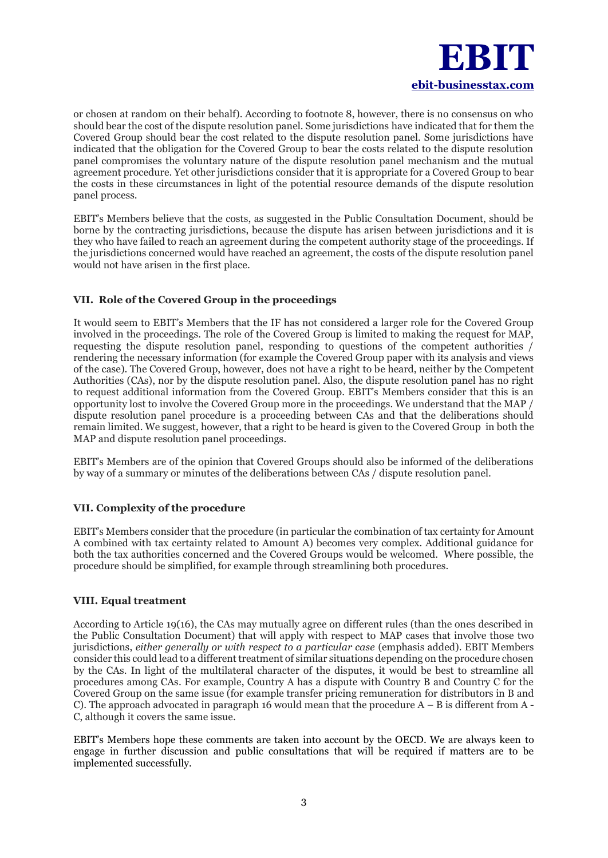

or chosen at random on their behalf). According to footnote 8, however, there is no consensus on who should bear the cost of the dispute resolution panel. Some jurisdictions have indicated that for them the Covered Group should bear the cost related to the dispute resolution panel. Some jurisdictions have indicated that the obligation for the Covered Group to bear the costs related to the dispute resolution panel compromises the voluntary nature of the dispute resolution panel mechanism and the mutual agreement procedure. Yet other jurisdictions consider that it is appropriate for a Covered Group to bear the costs in these circumstances in light of the potential resource demands of the dispute resolution panel process.

EBIT's Members believe that the costs, as suggested in the Public Consultation Document, should be borne by the contracting jurisdictions, because the dispute has arisen between jurisdictions and it is they who have failed to reach an agreement during the competent authority stage of the proceedings. If the jurisdictions concerned would have reached an agreement, the costs of the dispute resolution panel would not have arisen in the first place.

# **VII. Role of the Covered Group in the proceedings**

It would seem to EBIT's Members that the IF has not considered a larger role for the Covered Group involved in the proceedings. The role of the Covered Group is limited to making the request for MAP, requesting the dispute resolution panel, responding to questions of the competent authorities / rendering the necessary information (for example the Covered Group paper with its analysis and views of the case). The Covered Group, however, does not have a right to be heard, neither by the Competent Authorities (CAs), nor by the dispute resolution panel. Also, the dispute resolution panel has no right to request additional information from the Covered Group. EBIT's Members consider that this is an opportunity lost to involve the Covered Group more in the proceedings. We understand that the MAP / dispute resolution panel procedure is a proceeding between CAs and that the deliberations should remain limited. We suggest, however, that a right to be heard is given to the Covered Group in both the MAP and dispute resolution panel proceedings.

EBIT's Members are of the opinion that Covered Groups should also be informed of the deliberations by way of a summary or minutes of the deliberations between CAs / dispute resolution panel.

# **VII. Complexity of the procedure**

EBIT's Members consider that the procedure (in particular the combination of tax certainty for Amount A combined with tax certainty related to Amount A) becomes very complex. Additional guidance for both the tax authorities concerned and the Covered Groups would be welcomed. Where possible, the procedure should be simplified, for example through streamlining both procedures.

# **VIII. Equal treatment**

According to Article 19(16), the CAs may mutually agree on different rules (than the ones described in the Public Consultation Document) that will apply with respect to MAP cases that involve those two jurisdictions, *either generally or with respect to a particular case* (emphasis added). EBIT Members consider this could lead to a different treatment of similar situations depending on the procedure chosen by the CAs. In light of the multilateral character of the disputes, it would be best to streamline all procedures among CAs. For example, Country A has a dispute with Country B and Country C for the Covered Group on the same issue (for example transfer pricing remuneration for distributors in B and C). The approach advocated in paragraph 16 would mean that the procedure  $A - B$  is different from  $A - B$ C, although it covers the same issue.

EBIT's Members hope these comments are taken into account by the OECD. We are always keen to engage in further discussion and public consultations that will be required if matters are to be implemented successfully.